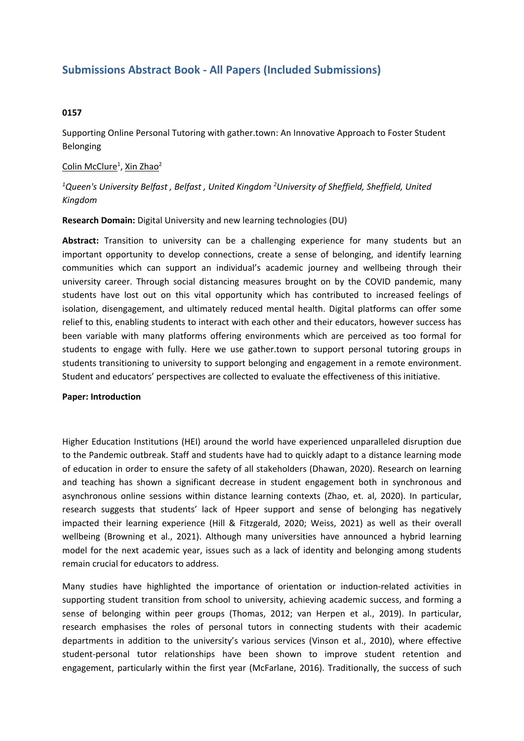# **Submissions Abstract Book - All Papers (Included Submissions)**

# **0157**

Supporting Online Personal Tutoring with gather.town: An Innovative Approach to Foster Student Belonging

## Colin McClure<sup>1</sup>, Xin Zhao<sup>2</sup>

*1 Queen's University Belfast , Belfast , United Kingdom <sup>2</sup> University of Sheffield, Sheffield, United Kingdom*

### **Research Domain:** Digital University and new learning technologies (DU)

**Abstract:** Transition to university can be <sup>a</sup> challenging experience for many students but an important opportunity to develop connections, create <sup>a</sup> sense of belonging, and identify learning communities which can support an individual's academic journey and wellbeing through their university career. Through social distancing measures brought on by the COVID pandemic, many students have lost out on this vital opportunity which has contributed to increased feelings of isolation, disengagement, and ultimately reduced mental health. Digital platforms can offer some relief to this, enabling students to interact with each other and their educators, however success has been variable with many platforms offering environments which are perceived as too formal for students to engage with fully. Here we use gather.town to support personal tutoring groups in students transitioning to university to support belonging and engagement in <sup>a</sup> remote environment. Student and educators' perspectives are collected to evaluate the effectiveness of this initiative.

#### **Paper: Introduction**

Higher Education Institutions (HEI) around the world have experienced unparalleled disruption due to the Pandemic outbreak. Staff and students have had to quickly adapt to <sup>a</sup> distance learning mode of education in order to ensure the safety of all stakeholders (Dhawan, 2020). Research on learning and teaching has shown <sup>a</sup> significant decrease in student engagement both in synchronous and asynchronous online sessions within distance learning contexts (Zhao, et. al, 2020). In particular, research suggests that students' lack of Hpeer support and sense of belonging has negatively impacted their learning experience (Hill & Fitzgerald, 2020; Weiss, 2021) as well as their overall wellbeing (Browning et al., 2021). Although many universities have announced <sup>a</sup> hybrid learning model for the next academic year, issues such as <sup>a</sup> lack of identity and belonging among students remain crucial for educators to address.

Many studies have highlighted the importance of orientation or induction-related activities in supporting student transition from school to university, achieving academic success, and forming <sup>a</sup> sense of belonging within peer groups (Thomas, 2012; van Herpen et al., 2019). In particular, research emphasises the roles of personal tutors in connecting students with their academic departments in addition to the university's various services (Vinson et al., 2010), where effective student-personal tutor relationships have been shown to improve student retention and engagement, particularly within the first year (McFarlane, 2016). Traditionally, the success of such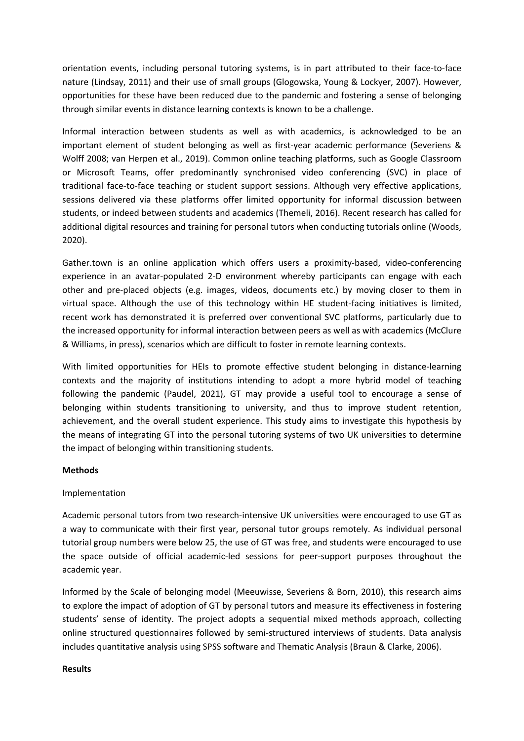orientation events, including personal tutoring systems, is in part attributed to their face-to-face nature (Lindsay, 2011) and their use of small groups (Glogowska, Young & Lockyer, 2007). However, opportunities for these have been reduced due to the pandemic and fostering <sup>a</sup> sense of belonging through similar events in distance learning contexts is known to be <sup>a</sup> challenge.

Informal interaction between students as well as with academics, is acknowledged to be an important element of student belonging as well as first-year academic performance (Severiens & Wolff 2008; van Herpen et al., 2019). Common online teaching platforms, such as Google Classroom or Microsoft Teams, offer predominantly synchronised video conferencing (SVC) in place of traditional face-to-face teaching or student support sessions. Although very effective applications, sessions delivered via these platforms offer limited opportunity for informal discussion between students, or indeed between students and academics (Themeli, 2016). Recent research has called for additional digital resources and training for personal tutors when conducting tutorials online (Woods, 2020).

Gather.town is an online application which offers users <sup>a</sup> proximity-based, video-conferencing experience in an avatar-populated 2-D environment whereby participants can engage with each other and pre-placed objects (e.g. images, videos, documents etc.) by moving closer to them in virtual space. Although the use of this technology within HE student-facing initiatives is limited, recent work has demonstrated it is preferred over conventional SVC platforms, particularly due to the increased opportunity for informal interaction between peers as well as with academics (McClure & Williams, in press), scenarios which are difficult to foster in remote learning contexts.

With limited opportunities for HEIs to promote effective student belonging in distance-learning contexts and the majority of institutions intending to adopt <sup>a</sup> more hybrid model of teaching following the pandemic (Paudel, 2021), GT may provide <sup>a</sup> useful tool to encourage <sup>a</sup> sense of belonging within students transitioning to university, and thus to improve student retention, achievement, and the overall student experience. This study aims to investigate this hypothesis by the means of integrating GT into the personal tutoring systems of two UK universities to determine the impact of belonging within transitioning students.

## **Methods**

## Implementation

Academic personal tutors from two research-intensive UK universities were encouraged to use GT as <sup>a</sup> way to communicate with their first year, personal tutor groups remotely. As individual personal tutorial group numbers were below 25, the use of GT was free, and students were encouraged to use the space outside of official academic-led sessions for peer-support purposes throughout the academic year.

Informed by the Scale of belonging model (Meeuwisse, Severiens & Born, 2010), this research aims to explore the impact of adoption of GT by personal tutors and measure its effectiveness in fostering students' sense of identity. The project adopts <sup>a</sup> sequential mixed methods approach, collecting online structured questionnaires followed by semi-structured interviews of students. Data analysis includes quantitative analysis using SPSS software and Thematic Analysis (Braun & Clarke, 2006).

## **Results**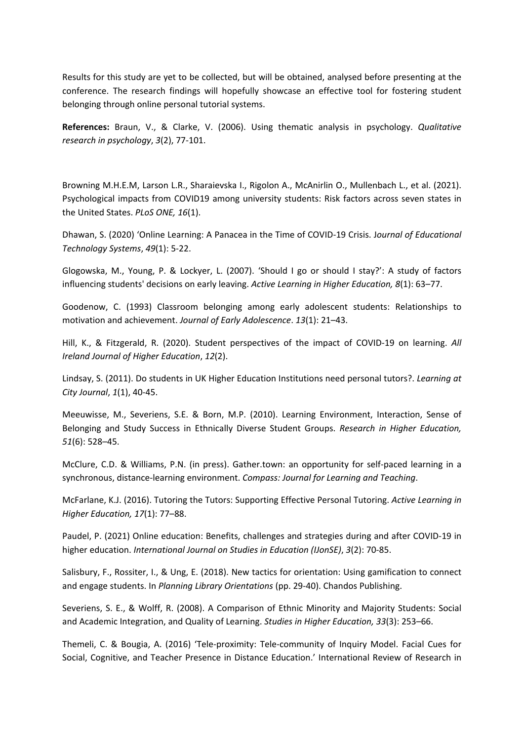Results for this study are yet to be collected, but will be obtained, analysed before presenting at the conference. The research findings will hopefully showcase an effective tool for fostering student belonging through online personal tutorial systems.

**References:** Braun, V., & Clarke, V. (2006). Using thematic analysis in psychology. *Qualitative research in psychology*, *3*(2), 77-101.

Browning M.H.E.M, Larson L.R., Sharaievska I., Rigolon A., McAnirlin O., Mullenbach L., et al. (2021). Psychological impacts from COVID19 among university students: Risk factors across seven states in the United States. *PLoS ONE, 16*(1).

Dhawan, S. (2020) 'Online Learning: A Panacea in the Time of COVID-19 Crisis. J*ournal of Educational Technology Systems*, *49*(1): 5-22.

Glogowska, M., Young, P. & Lockyer, L. (2007). 'Should I go or should I stay?': A study of factors influencing students' decisions on early leaving. *Active Learning in Higher Education, 8*(1): 63–77.

Goodenow, C. (1993) Classroom belonging among early adolescent students: Relationships to motivation and achievement. *Journal of Early Adolescence*. *13*(1): 21–43.

Hill, K., & Fitzgerald, R. (2020). Student perspectives of the impact of COVID-19 on learning. *All Ireland Journal of Higher Education*, *12*(2).

Lindsay, S. (2011). Do students in UK Higher Education Institutions need personal tutors?. *Learning at City Journal*, *1*(1), 40-45.

Meeuwisse, M., Severiens, S.E. & Born, M.P. (2010). Learning Environment, Interaction, Sense of Belonging and Study Success in Ethnically Diverse Student Groups. *Research in Higher Education, 51*(6): 528–45.

McClure, C.D. & Williams, P.N. (in press). Gather.town: an opportunity for self-paced learning in <sup>a</sup> synchronous, distance-learning environment. *Compass: Journal for Learning and Teaching*.

McFarlane, K.J. (2016). Tutoring the Tutors: Supporting Effective Personal Tutoring. *Active Learning in Higher Education, 17*(1): 77–88.

Paudel, P. (2021) Online education: Benefits, challenges and strategies during and after COVID-19 in higher education. *International Journal on Studies in Education (IJonSE)*, *3*(2): 70-85.

Salisbury, F., Rossiter, I., & Ung, E. (2018). New tactics for orientation: Using gamification to connect and engage students. In *Planning Library Orientations* (pp. 29-40). Chandos Publishing.

Severiens, S. E., & Wolff, R. (2008). A Comparison of Ethnic Minority and Majority Students: Social and Academic Integration, and Quality of Learning. *Studies in Higher Education, 33*(3): 253–66.

Themeli, C. & Bougia, A. (2016) 'Tele-proximity: Tele-community of Inquiry Model. Facial Cues for Social, Cognitive, and Teacher Presence in Distance Education.' International Review of Research in